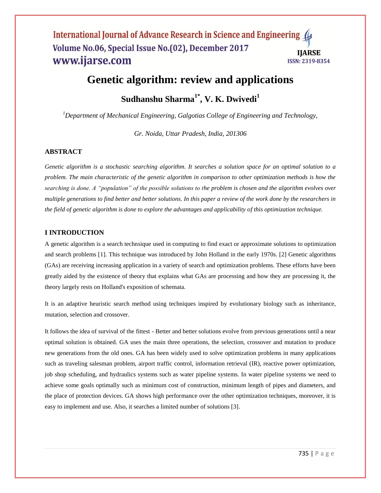# **Genetic algorithm: review and applications**

**Sudhanshu Sharma1\* , V. K. Dwivedi<sup>1</sup>**

*<sup>1</sup>Department of Mechanical Engineering, Galgotias College of Engineering and Technology,* 

*Gr. Noida, Uttar Pradesh, India, 201306*

#### **ABSTRACT**

*Genetic algorithm is a stochastic searching algorithm. It searches a solution space for an optimal solution to a problem. The main characteristic of the genetic algorithm in comparison to other optimization methods is how the searching is done. A "population" of the possible solutions to the problem is chosen and the algorithm evolves over multiple generations to find better and better solutions. In this paper a review of the work done by the researchers in the field of genetic algorithm is done to explore the advantages and applicability of this optimization technique.*

# **I INTRODUCTION**

A genetic algorithm is a search technsique used in computing to find exact or approximate solutions to optimization and search problems [1]. This technique was introduced by John Holland in the early 1970s. [2] Genetic algorithms (GAs) are receiving increasing application in a variety of search and optimization problems. These efforts have been greatly aided by the existence of theory that explains what GAs are processing and how they are processing it, the theory largely rests on Holland's exposition of schemata.

It is an adaptive heuristic search method using techniques inspired by evolutionary biology such as inheritance, mutation, selection and crossover.

It follows the idea of survival of the fittest - Better and better solutions evolve from previous generations until a near optimal solution is obtained. GA uses the main three operations, the selection, crossover and mutation to produce new generations from the old ones. GA has been widely used to solve optimization problems in many applications such as traveling salesman problem, airport traffic control, information retrieval (IR), reactive power optimization, job shop scheduling, and hydraulics systems such as water pipeline systems. In water pipeline systems we need to achieve some goals optimally such as minimum cost of construction, minimum length of pipes and diameters, and the place of protection devices. GA shows high performance over the other optimization techniques, moreover, it is easy to implement and use. Also, it searches a limited number of solutions [3].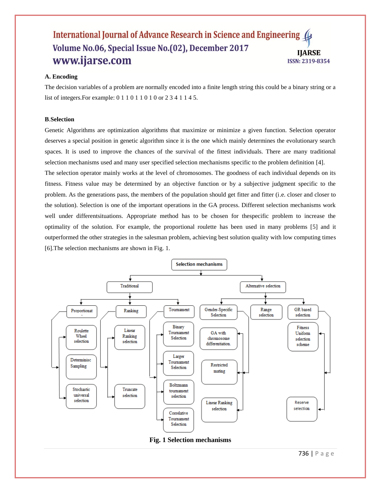#### **A. Encoding**

The decision variables of a problem are normally encoded into a finite length string this could be a binary string or a list of integers.For example: 0 1 1 0 1 1 0 1 0 or 2 3 4 1 1 4 5.

#### **B**.**Selection**

Genetic Algorithms are optimization algorithms that maximize or minimize a given function. Selection operator deserves a special position in genetic algorithm since it is the one which mainly determines the evolutionary search spaces. It is used to improve the chances of the survival of the fittest individuals. There are many traditional selection mechanisms used and many user specified selection mechanisms specific to the problem definition [4].

The selection operator mainly works at the level of chromosomes. The goodness of each individual depends on its fitness. Fitness value may be determined by an objective function or by a subjective judgment specific to the problem. As the generations pass, the members of the population should get fitter and fitter (i.e. closer and closer to the solution). Selection is one of the important operations in the GA process. Different selection mechanisms work well under differentsituations. Appropriate method has to be chosen for thespecific problem to increase the optimality of the solution. For example, the proportional roulette has been used in many problems [5] and it outperformed the other strategies in the salesman problem, achieving best solution quality with low computing times [6].The selection mechanisms are shown in Fig. 1.



736 | P a g e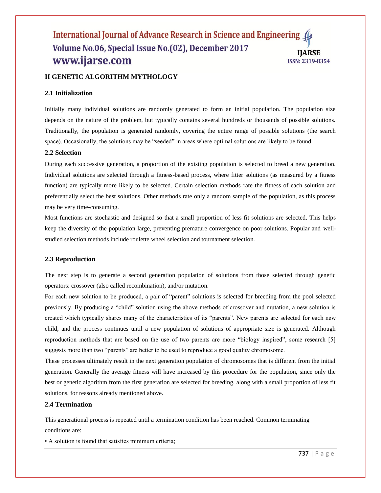# **II GENETIC ALGORITHM MYTHOLOGY**

#### **2.1 Initialization**

Initially many individual solutions are randomly generated to form an initial population. The population size depends on the nature of the problem, but typically contains several hundreds or thousands of possible solutions. Traditionally, the population is generated randomly, covering the entire range of possible solutions (the search space). Occasionally, the solutions may be "seeded" in areas where optimal solutions are likely to be found.

#### **2.2 Selection**

During each successive generation, a proportion of the existing population is selected to breed a new generation. Individual solutions are selected through a fitness-based process, where fitter solutions (as measured by a fitness function) are typically more likely to be selected. Certain selection methods rate the fitness of each solution and preferentially select the best solutions. Other methods rate only a random sample of the population, as this process may be very time-consuming.

Most functions are stochastic and designed so that a small proportion of less fit solutions are selected. This helps keep the diversity of the population large, preventing premature convergence on poor solutions. Popular and wellstudied selection methods include roulette wheel selection and tournament selection.

#### **2.3 Reproduction**

The next step is to generate a second generation population of solutions from those selected through genetic operators: crossover (also called recombination), and/or mutation.

For each new solution to be produced, a pair of "parent" solutions is selected for breeding from the pool selected previously. By producing a "child" solution using the above methods of crossover and mutation, a new solution is created which typically shares many of the characteristics of its "parents". New parents are selected for each new child, and the process continues until a new population of solutions of appropriate size is generated. Although reproduction methods that are based on the use of two parents are more "biology inspired", some research [5] suggests more than two "parents" are better to be used to reproduce a good quality chromosome.

These processes ultimately result in the next generation population of chromosomes that is different from the initial generation. Generally the average fitness will have increased by this procedure for the population, since only the best or genetic algorithm from the first generation are selected for breeding, along with a small proportion of less fit solutions, for reasons already mentioned above.

#### **2.4 Termination**

This generational process is repeated until a termination condition has been reached. Common terminating conditions are:

• A solution is found that satisfies minimum criteria;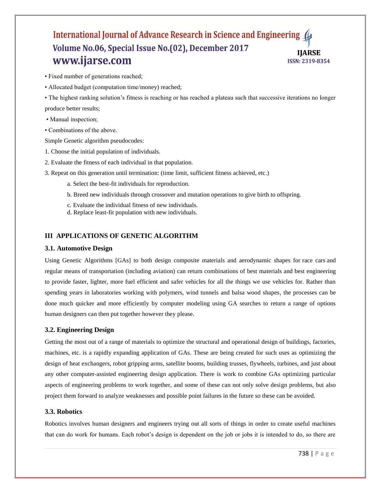• Fixed number of generations reached;

• Allocated budget (computation time/money) reached;

• The highest ranking solution"s fitness is reaching or has reached a plateau such that successive iterations no longer produce better results;

- Manual inspection;
- Combinations of the above.

Simple Genetic algorithm pseudocodes:

- 1. Choose the initial population of individuals.
- 2. Evaluate the fitness of each individual in that population.
- 3. Repeat on this generation until termination: (time limit, sufficient fitness achieved, etc.)
	- a. Select the best-fit individuals for reproduction.
	- b. Breed new individuals through crossover and mutation operations to give birth to offspring.
	- c. Evaluate the individual fitness of new individuals.
	- d. Replace least-fit population with new individuals.

# **III APPLICATIONS OF GENETIC ALGORITHM**

#### **3.1. Automotive Design**

Using Genetic Algorithms [GAs] to both design composite materials and aerodynamic shapes for [race cars](http://www.sae.org/technical/papers/2003-01-1327) and regular means of transportation (including aviation) can return combinations of best materials and best engineering to provide faster, lighter, more fuel efficient and safer vehicles for all the things we use vehicles for. Rather than spending years in laboratories working with polymers, wind tunnels and balsa wood shapes, the processes can be done much quicker and more efficiently by computer modeling using GA searches to return a range of options human designers can then put together however they please.

#### **3.2. Engineering Design**

Getting the most out of a range of materials to optimize the structural and operational design of buildings, factories, machines, etc. is a rapidly expanding application of GAs. These are being created for such uses as optimizing the design of heat exchangers, robot gripping arms, satellite booms, building trusses, flywheels, turbines, and just about any other computer-assisted engineering design application. There is work to combine GAs optimizing particular aspects of engineering problems to work together, and some of these can not only solve design problems, but also project them forward to analyze weaknesses and possible point failures in the future so these can be avoided.

#### **3.3. Robotics**

Robotics involves human designers and engineers trying out all sorts of things in order to create useful machines that can do work for humans. Each robot"s design is dependent on the job or jobs it is intended to do, so there are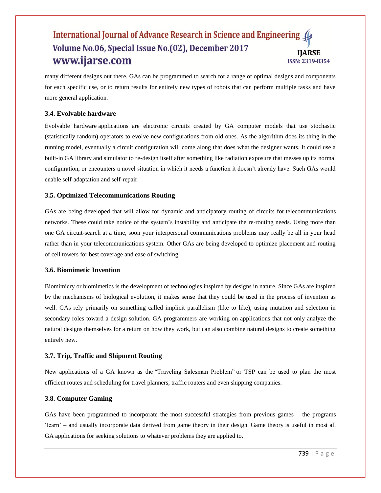many different designs out there. GAs can be programmed to search for a range of optimal designs and components for each specific use, or to return results for entirely new types of robots that can perform multiple tasks and have more general application.

# **3.4. Evolvable hardware**

[Evolvable hardware](http://en.wikipedia.org/wiki/Evolvable_hardware) applications are electronic circuits created by GA computer models that use stochastic (statistically random) operators to evolve new configurations from old ones. As the algorithm does its thing in the running model, eventually a circuit configuration will come along that does what the designer wants. It could use a built-in GA library and simulator to re-design itself after something like radiation exposure that messes up its normal configuration, or encounters a novel situation in which it needs a function it doesn"t already have. Such GAs would enable self-adaptation and self-repair.

# **3.5. Optimized Telecommunications Routing**

GAs are being developed that will allow for dynamic and anticipatory routing of circuits for [telecommunications](http://en.wikipedia.org/wiki/Telecommunications_network)  [networks.](http://en.wikipedia.org/wiki/Telecommunications_network) These could take notice of the system"s instability and anticipate the re-routing needs. Using more than one GA circuit-search at a time, soon your interpersonal communications problems may really be all in your head rather than in your telecommunications system. Other GAs are being developed to optimize placement and routing of cell towers for best coverage and ease of switching

# **3.6. Biomimetic Invention**

[Biomimicry](https://www.brainz.org/15-coolest-cases-biomimicry/index.html) or biomimetics is the development of technologies inspired by designs in nature. Since GAs are inspired by the mechanisms of biological evolution, it makes sense that they could be used in the process of invention as well. GAs rely primarily on something called implicit parallelism (like to like), using mutation and selection in secondary roles toward a design solution. GA programmers are working on applications that not only analyze the natural designs themselves for a return on how they work, but can also combine natural designs to create something entirely new.

#### **3.7. Trip, Traffic and Shipment Routing**

New applications of a GA known as the ["Traveling Salesman Problem"](http://www.aip.org/isns/reports/2002/060.html) or TSP can be used to plan the most efficient routes and scheduling for travel planners, traffic routers and even shipping companies.

#### **3.8. Computer Gaming**

GAs have been programmed to incorporate the most successful strategies from previous games – the programs "learn" – and usually incorporate data derived from game theory in their design. [Game theory](http://en.wikipedia.org/wiki/Game_Theory) is useful in most all GA applications for seeking solutions to whatever problems they are applied to.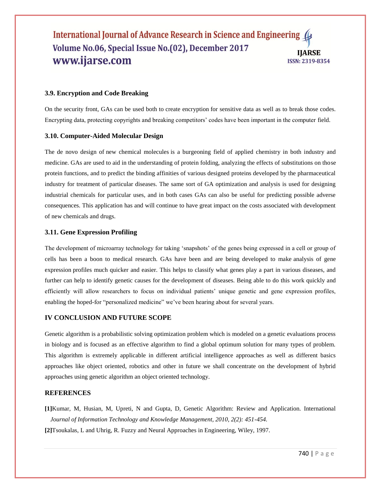#### **3.9. Encryption and Code Breaking**

On the security front, GAs can be used both to [create encryption](http://www.wipo.int/pctdb/en/wo.jsp?IA=US2000040826&DISPLAY=DESC) for sensitive data as well as to break those codes. Encrypting data, protecting copyrights and breaking competitors" codes have been important in the computer field.

#### **3.10. Computer-Aided Molecular Design**

The de novo design of [new chemical molecules](http://panizzi.shef.ac.uk/cisrg/links/ea_bib.html) is a burgeoning field of applied chemistry in both industry and medicine. GAs are used to aid in the understanding of protein folding, analyzing the effects of substitutions on those protein functions, and to predict the binding affinities of various designed proteins developed by the pharmaceutical industry for treatment of particular diseases. The same sort of GA optimization and analysis is used for designing industrial chemicals for particular uses, and in both cases GAs can also be useful for predicting possible adverse consequences. This application has and will continue to have great impact on the costs associated with development of new chemicals and drugs.

#### **3.11. Gene Expression Profiling**

The development of microarray technology for taking "snapshots" of the genes being expressed in a cell or group of cells has been a boon to medical research. GAs have been and are being developed to make [analysis of gene](http://bioinformatics.oxfordjournals.org/cgi/content/abstract/17/12/1131)  [expression](http://bioinformatics.oxfordjournals.org/cgi/content/abstract/17/12/1131) profiles much quicker and easier. This helps to classify what genes play a part in various diseases, and further can help to identify genetic causes for the development of diseases. Being able to do this work quickly and efficiently will allow researchers to focus on individual patients" unique genetic and gene expression profiles, enabling the hoped-for "personalized medicine" we've been hearing about for several years.

# **IV CONCLUSION AND FUTURE SCOPE**

Genetic algorithm is a probabilistic solving optimization problem which is modeled on a genetic evaluations process in biology and is focused as an effective algorithm to find a global optimum solution for many types of problem. This algorithm is extremely applicable in different artificial intelligence approaches as well as different basics approaches like object oriented, robotics and other in future we shall concentrate on the development of hybrid approaches using genetic algorithm an object oriented technology.

#### **REFERENCES**

**[1]**Kumar, M, Husian, M, Upreti, N and Gupta, D, Genetic Algorithm: Review and Application. International *Journal of Information Technology and Knowledge Management, 2010, 2(2): 451-454.* **[2]**Tsoukalas, L and Uhrig, R. Fuzzy and Neural Approaches in Engineering, Wiley, 1997.